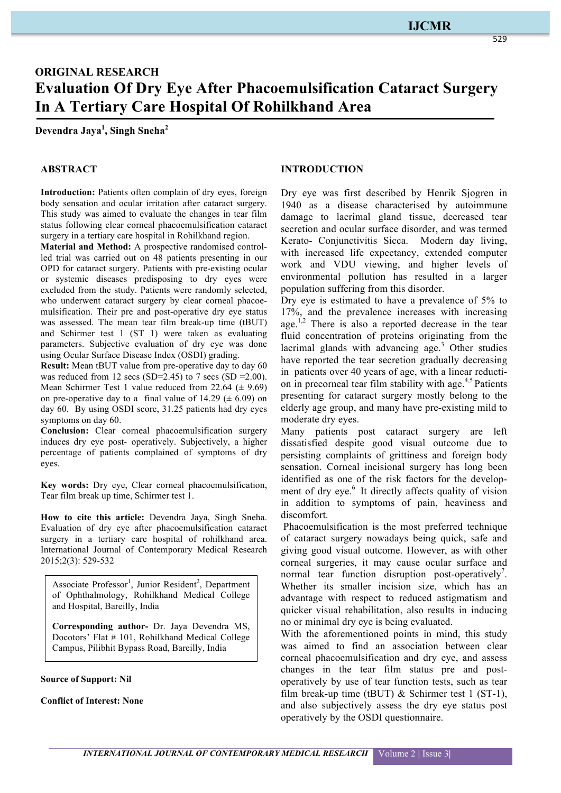### **IJCMR**

# **ORIGINAL RESEARCH Evaluation Of Dry Eye After Phacoemulsification Cataract Surgery In A Tertiary Care Hospital Of Rohilkhand Area**

**Devendra Jaya<sup>1</sup> , Singh Sneha<sup>2</sup>**

### **ABSTRACT**

**Introduction:** Patients often complain of dry eyes, foreign body sensation and ocular irritation after cataract surgery. This study was aimed to evaluate the changes in tear film status following clear corneal phacoemulsification cataract surgery in a tertiary care hospital in Rohilkhand region.

**Material and Method:** A prospective randomised controlled trial was carried out on 48 patients presenting in our OPD for cataract surgery. Patients with pre-existing ocular or systemic diseases predisposing to dry eyes were excluded from the study. Patients were randomly selected, who underwent cataract surgery by clear corneal phacoemulsification. Their pre and post-operative dry eye status was assessed. The mean tear film break-up time (tBUT) and Schirmer test 1 (ST 1) were taken as evaluating parameters. Subjective evaluation of dry eye was done using Ocular Surface Disease Index (OSDI) grading.

**Result:** Mean tBUT value from pre-operative day to day 60 was reduced from 12 secs (SD=2.45) to 7 secs (SD = 2.00). Mean Schirmer Test 1 value reduced from 22.64  $(\pm 9.69)$ on pre-operative day to a final value of  $14.29 \ (\pm 6.09)$  on day 60. By using OSDI score, 31.25 patients had dry eyes symptoms on day 60.

**Conclusion:** Clear corneal phacoemulsification surgery induces dry eye post- operatively. Subjectively, a higher percentage of patients complained of symptoms of dry eyes.

**Key words:** Dry eye, Clear corneal phacoemulsification, Tear film break up time, Schirmer test 1.

**How to cite this article:** Devendra Jaya, Singh Sneha. Evaluation of dry eye after phacoemulsification cataract surgery in a tertiary care hospital of rohilkhand area. International Journal of Contemporary Medical Research 2015;2(3): 529-532

Associate Professor<sup>1</sup>, Junior Resident<sup>2</sup>, Department of Ophthalmology, Rohilkhand Medical College and Hospital, Bareilly, India

**Corresponding author-** Dr. Jaya Devendra MS, Docotors' Flat # 101, Rohilkhand Medical College Campus, Pilibhit Bypass Road, Bareilly, India

**Source of Support: Nil**

**Conflict of Interest: None**

#### **INTRODUCTION**

Dry eye was first described by Henrik Sjogren in 1940 as a disease characterised by autoimmune damage to lacrimal gland tissue, decreased tear secretion and ocular surface disorder, and was termed Kerato- Conjunctivitis Sicca. Modern day living, with increased life expectancy, extended computer work and VDU viewing, and higher levels of environmental pollution has resulted in a larger population suffering from this disorder.

Dry eye is estimated to have a prevalence of 5% to 17%, and the prevalence increases with increasing age.<sup>1,2</sup> There is also a reported decrease in the tear fluid concentration of proteins originating from the lacrimal glands with advancing age. <sup>3</sup> Other studies have reported the tear secretion gradually decreasing in patients over 40 years of age, with a linear reduction in precorneal tear film stability with age. 4,5 Patients presenting for cataract surgery mostly belong to the elderly age group, and many have pre-existing mild to moderate dry eyes.

Many patients post cataract surgery are left dissatisfied despite good visual outcome due to persisting complaints of grittiness and foreign body sensation. Corneal incisional surgery has long been identified as one of the risk factors for the development of dry eye. <sup>6</sup> It directly affects quality of vision in addition to symptoms of pain, heaviness and discomfort.

Phacoemulsification is the most preferred technique of cataract surgery nowadays being quick, safe and giving good visual outcome. However, as with other corneal surgeries, it may cause ocular surface and normal tear function disruption post-operatively<sup>7</sup>. Whether its smaller incision size, which has an advantage with respect to reduced astigmatism and quicker visual rehabilitation, also results in inducing no or minimal dry eye is being evaluated.

With the aforementioned points in mind, this study was aimed to find an association between clear corneal phacoemulsification and dry eye, and assess changes in the tear film status pre and postoperatively by use of tear function tests, such as tear film break-up time (tBUT)  $&$  Schirmer test 1 (ST-1), and also subjectively assess the dry eye status post operatively by the OSDI questionnaire.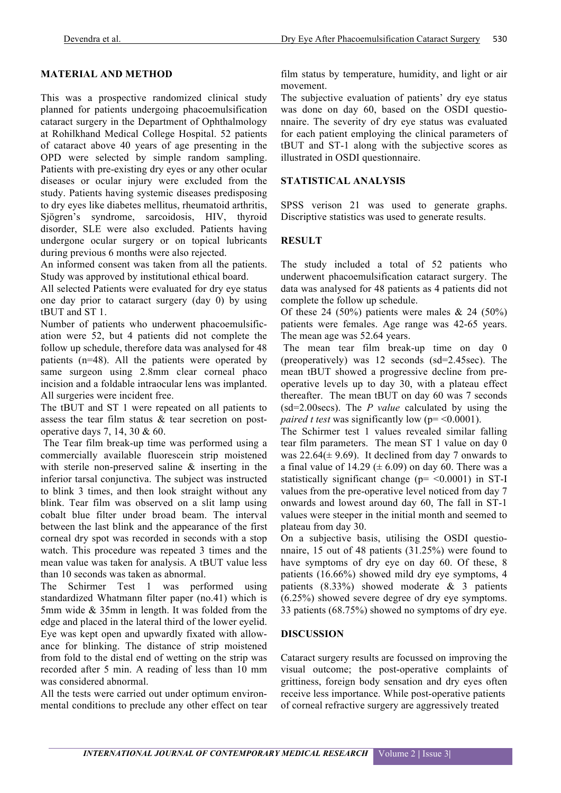## **MATERIAL AND METHOD**

This was a prospective randomized clinical study planned for patients undergoing phacoemulsification cataract surgery in the Department of Ophthalmology at Rohilkhand Medical College Hospital. 52 patients of cataract above 40 years of age presenting in the OPD were selected by simple random sampling. Patients with pre-existing dry eyes or any other ocular diseases or ocular injury were excluded from the study. Patients having systemic diseases predisposing to dry eyes like diabetes mellitus, rheumatoid arthritis, Sjögren's syndrome, sarcoidosis, HIV, thyroid disorder, SLE were also excluded. Patients having undergone ocular surgery or on topical lubricants during previous 6 months were also rejected.

An informed consent was taken from all the patients. Study was approved by institutional ethical board.

All selected Patients were evaluated for dry eye status one day prior to cataract surgery (day 0) by using tBUT and ST 1.

Number of patients who underwent phacoemulsification were 52, but 4 patients did not complete the follow up schedule, therefore data was analysed for 48 patients (n=48). All the patients were operated by same surgeon using 2.8mm clear corneal phaco incision and a foldable intraocular lens was implanted. All surgeries were incident free.

The tBUT and ST 1 were repeated on all patients to assess the tear film status & tear secretion on postoperative days 7, 14, 30 & 60.

The Tear film break-up time was performed using a commercially available fluorescein strip moistened with sterile non-preserved saline & inserting in the inferior tarsal conjunctiva. The subject was instructed to blink 3 times, and then look straight without any blink. Tear film was observed on a slit lamp using cobalt blue filter under broad beam. The interval between the last blink and the appearance of the first corneal dry spot was recorded in seconds with a stop watch. This procedure was repeated 3 times and the mean value was taken for analysis. A tBUT value less than 10 seconds was taken as abnormal.

The Schirmer Test 1 was performed using standardized Whatmann filter paper (no.41) which is 5mm wide & 35mm in length. It was folded from the edge and placed in the lateral third of the lower eyelid. Eye was kept open and upwardly fixated with allowance for blinking. The distance of strip moistened from fold to the distal end of wetting on the strip was recorded after 5 min. A reading of less than 10 mm was considered abnormal.

All the tests were carried out under optimum environmental conditions to preclude any other effect on tear film status by temperature, humidity, and light or air movement.

The subjective evaluation of patients' dry eye status was done on day 60, based on the OSDI questionnaire. The severity of dry eye status was evaluated for each patient employing the clinical parameters of tBUT and ST-1 along with the subjective scores as illustrated in OSDI questionnaire.

### **STATISTICAL ANALYSIS**

SPSS verison 21 was used to generate graphs. Discriptive statistics was used to generate results.

### **RESULT**

The study included a total of 52 patients who underwent phacoemulsification cataract surgery. The data was analysed for 48 patients as 4 patients did not complete the follow up schedule.

Of these 24 (50%) patients were males  $\&$  24 (50%) patients were females. Age range was 42-65 years. The mean age was 52.64 years.

The mean tear film break-up time on day 0 (preoperatively) was 12 seconds (sd=2.45sec). The mean tBUT showed a progressive decline from preoperative levels up to day 30, with a plateau effect thereafter. The mean tBUT on day 60 was 7 seconds (sd=2.00secs). The *P value* calculated by using the *paired t test* was significantly low ( $p = \le 0.0001$ ).

The Schirmer test 1 values revealed similar falling tear film parameters. The mean ST 1 value on day 0 was  $22.64(\pm 9.69)$ . It declined from day 7 onwards to a final value of 14.29 ( $\pm$  6.09) on day 60. There was a statistically significant change ( $p=$  <0.0001) in ST-I values from the pre-operative level noticed from day 7 onwards and lowest around day 60, The fall in ST-1 values were steeper in the initial month and seemed to plateau from day 30.

On a subjective basis, utilising the OSDI questionnaire, 15 out of 48 patients (31.25%) were found to have symptoms of dry eye on day 60. Of these, 8 patients (16.66%) showed mild dry eye symptoms, 4 patients  $(8.33\%)$  showed moderate & 3 patients (6.25%) showed severe degree of dry eye symptoms. 33 patients (68.75%) showed no symptoms of dry eye.

### **DISCUSSION**

Cataract surgery results are focussed on improving the visual outcome; the post-operative complaints of grittiness, foreign body sensation and dry eyes often receive less importance. While post-operative patients of corneal refractive surgery are aggressively treated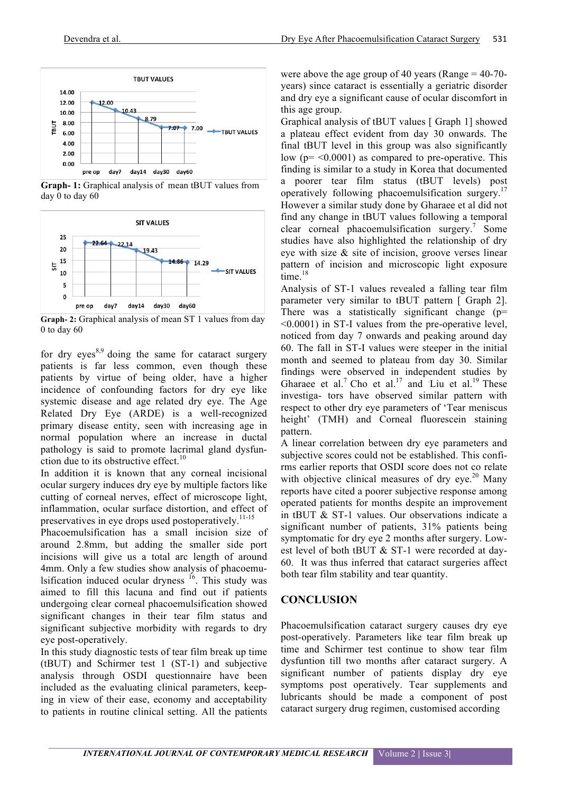

**Graph- 1:** Graphical analysis of mean tBUT values from day 0 to day 60



**Graph- 2:** Graphical analysis of mean ST 1 values from day 0 to day 60

for dry eyes<sup>8,9</sup> doing the same for cataract surgery patients is far less common, even though these patients by virtue of being older, have a higher incidence of confounding factors for dry eye like systemic disease and age related dry eye. The Age Related Dry Eye (ARDE) is a well-recognized primary disease entity, seen with increasing age in normal population where an increase in ductal pathology is said to promote lacrimal gland dysfunction due to its obstructive effect.<sup>10</sup>

In addition it is known that any corneal incisional ocular surgery induces dry eye by multiple factors like cutting of corneal nerves, effect of microscope light, inflammation, ocular surface distortion, and effect of preservatives in eye drops used postoperatively.<sup>11-15</sup>

Phacoemulsification has a small incision size of around 2.8mm, but adding the smaller side port incisions will give us a total arc length of around 4mm. Only a few studies show analysis of phacoemulsification induced ocular dryness  $16$ . This study was aimed to fill this lacuna and find out if patients undergoing clear corneal phacoemulsification showed significant changes in their tear film status and significant subjective morbidity with regards to dry eye post-operatively.

In this study diagnostic tests of tear film break up time (tBUT) and Schirmer test 1 (ST-1) and subjective analysis through OSDI questionnaire have been included as the evaluating clinical parameters, keeping in view of their ease, economy and acceptability to patients in routine clinical setting. All the patients

were above the age group of 40 years (Range  $=$  40-70years) since cataract is essentially a geriatric disorder and dry eye a significant cause of ocular discomfort in this age group.

Graphical analysis of tBUT values [ Graph 1] showed a plateau effect evident from day 30 onwards. The final tBUT level in this group was also significantly low ( $p = \langle 0.0001 \rangle$  as compared to pre-operative. This finding is similar to a study in Korea that documented a poorer tear film status (tBUT levels) post operatively following phacoemulsification surgery.<sup>17</sup> However a similar study done by Gharaee et al did not find any change in tBUT values following a temporal clear corneal phacoemulsification surgery. <sup>7</sup> Some studies have also highlighted the relationship of dry eye with size  $\&$  site of incision, groove verses linear pattern of incision and microscopic light exposure time. 18

Analysis of ST-1 values revealed a falling tear film parameter very similar to tBUT pattern [ Graph 2]. There was a statistically significant change  $(p=$ <0.0001) in ST-I values from the pre-operative level, noticed from day 7 onwards and peaking around day 60. The fall in ST-I values were steeper in the initial month and seemed to plateau from day 30. Similar findings were observed in independent studies by Gharaee et al.<sup>7</sup> Cho et al.<sup>17</sup> and Liu et al.<sup>19</sup> These investiga- tors have observed similar pattern with respect to other dry eye parameters of 'Tear meniscus height' (TMH) and Corneal fluorescein staining pattern.

A linear correlation between dry eye parameters and subjective scores could not be established. This confirms earlier reports that OSDI score does not co relate with objective clinical measures of dry eye.<sup>20</sup> Many reports have cited a poorer subjective response among operated patients for months despite an improvement in tBUT & ST-1 values. Our observations indicate a significant number of patients, 31% patients being symptomatic for dry eye 2 months after surgery. Lowest level of both tBUT & ST-1 were recorded at day-60. It was thus inferred that cataract surgeries affect both tear film stability and tear quantity.

### **CONCLUSION**

Phacoemulsification cataract surgery causes dry eye post-operatively. Parameters like tear film break up time and Schirmer test continue to show tear film dysfuntion till two months after cataract surgery. A significant number of patients display dry eye symptoms post operatively. Tear supplements and lubricants should be made a component of post cataract surgery drug regimen, customised according